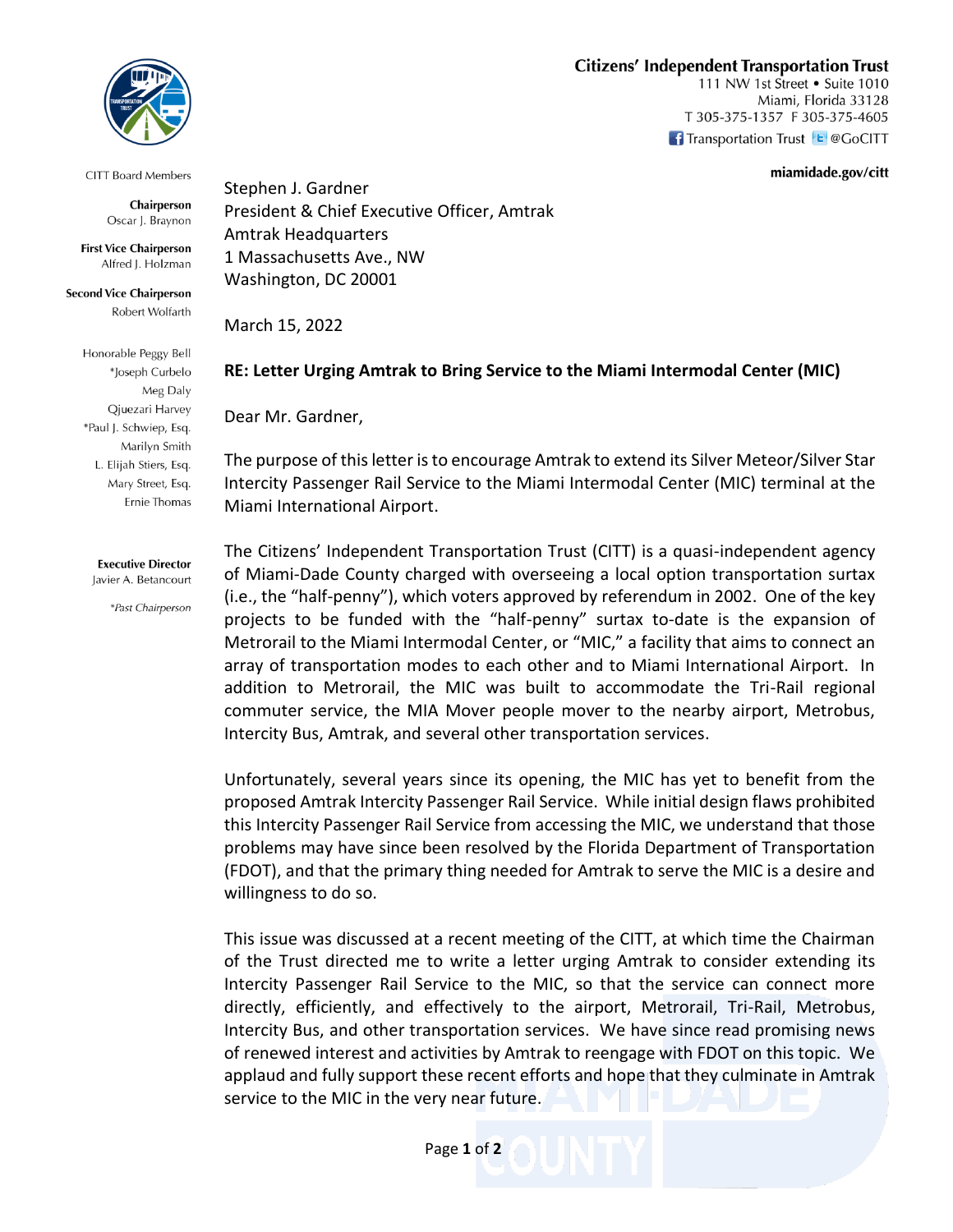## **Citizens' Independent Transportation Trust**

111 NW 1st Street • Suite 1010 Miami, Florida 33128 T 305-375-1357 F 305-375-4605 **f** Transportation Trust **E** @GoCITT

miamidade.gov/citt



**CITT Board Members** 

Chairperson Oscar J. Braynon

**First Vice Chairperson** Alfred J. Holzman

**Second Vice Chairperson** Robert Wolfarth

> Honorable Peggy Bell \*Joseph Curbelo Meg Daly Qjuezari Harvey \*Paul J. Schwiep, Esq. Marilyn Smith L. Elijah Stiers, Esq. Mary Street, Esq. Ernie Thomas

**Executive Director** Javier A. Betancourt

\*Past Chairperson

Stephen J. Gardner President & Chief Executive Officer, Amtrak Amtrak Headquarters 1 Massachusetts Ave., NW Washington, DC 20001

March 15, 2022

## **RE: Letter Urging Amtrak to Bring Service to the Miami Intermodal Center (MIC)**

Dear Mr. Gardner,

The purpose of this letter is to encourage Amtrak to extend its Silver Meteor/Silver Star Intercity Passenger Rail Service to the Miami Intermodal Center (MIC) terminal at the Miami International Airport.

The Citizens' Independent Transportation Trust (CITT) is a quasi-independent agency of Miami-Dade County charged with overseeing a local option transportation surtax (i.e., the "half-penny"), which voters approved by referendum in 2002. One of the key projects to be funded with the "half-penny" surtax to-date is the expansion of Metrorail to the Miami Intermodal Center, or "MIC," a facility that aims to connect an array of transportation modes to each other and to Miami International Airport. In addition to Metrorail, the MIC was built to accommodate the Tri-Rail regional commuter service, the MIA Mover people mover to the nearby airport, Metrobus, Intercity Bus, Amtrak, and several other transportation services.

Unfortunately, several years since its opening, the MIC has yet to benefit from the proposed Amtrak Intercity Passenger Rail Service. While initial design flaws prohibited this Intercity Passenger Rail Service from accessing the MIC, we understand that those problems may have since been resolved by the Florida Department of Transportation (FDOT), and that the primary thing needed for Amtrak to serve the MIC is a desire and willingness to do so.

This issue was discussed at a recent meeting of the CITT, at which time the Chairman of the Trust directed me to write a letter urging Amtrak to consider extending its Intercity Passenger Rail Service to the MIC, so that the service can connect more directly, efficiently, and effectively to the airport, Metrorail, Tri-Rail, Metrobus, Intercity Bus, and other transportation services. We have since read promising news of renewed interest and activities by Amtrak to reengage with FDOT on this topic. We applaud and fully support these recent efforts and hope that they culminate in Amtrak service to the MIC in the very near future.